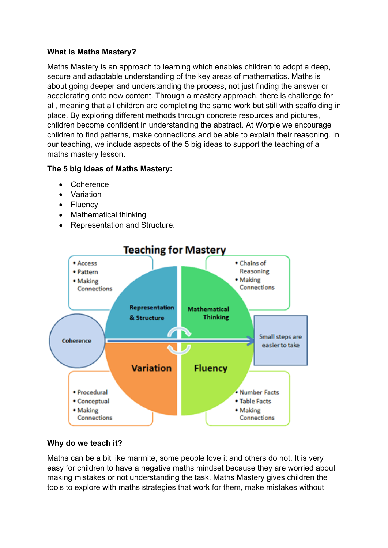### **What is Maths Mastery?**

Maths Mastery is an approach to learning which enables children to adopt a deep, secure and adaptable understanding of the key areas of mathematics. Maths is about going deeper and understanding the process, not just finding the answer or accelerating onto new content. Through a mastery approach, there is challenge for all, meaning that all children are completing the same work but still with scaffolding in place. By exploring different methods through concrete resources and pictures, children become confident in understanding the abstract. At Worple we encourage children to find patterns, make connections and be able to explain their reasoning. In our teaching, we include aspects of the 5 big ideas to support the teaching of a maths mastery lesson.

# **The 5 big ideas of Maths Mastery:**

- **Coherence**
- Variation
- Fluency
- Mathematical thinking
- Representation and Structure.



#### **Why do we teach it?**

Maths can be a bit like marmite, some people love it and others do not. It is very easy for children to have a negative maths mindset because they are worried about making mistakes or not understanding the task. Maths Mastery gives children the tools to explore with maths strategies that work for them, make mistakes without